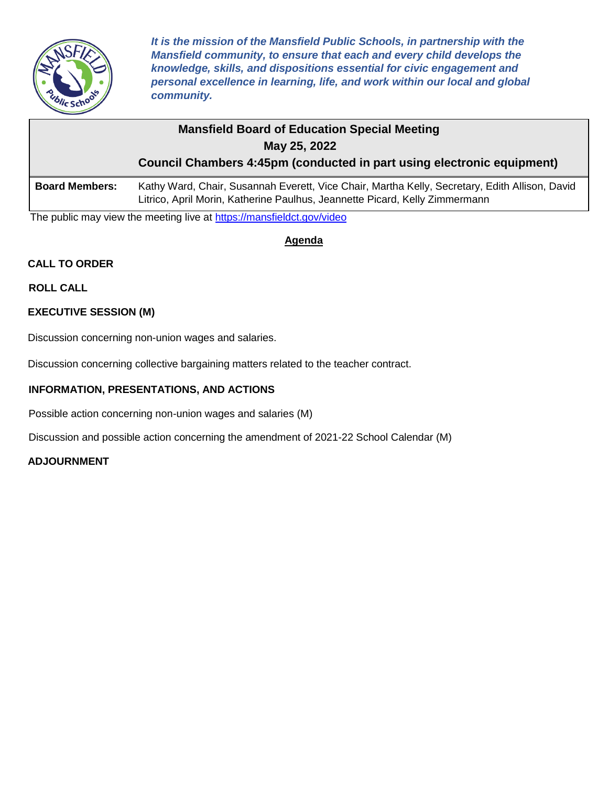

*It is the mission of the Mansfield Public Schools, in partnership with the Mansfield community, to ensure that each and every child develops the knowledge, skills, and dispositions essential for civic engagement and personal excellence in learning, life, and work within our local and global community.*

# **Mansfield Board of Education Special Meeting May 25, 2022**

**Council Chambers 4:45pm (conducted in part using electronic equipment)**

**Board Members:** Kathy Ward, Chair, Susannah Everett, Vice Chair, Martha Kelly, Secretary, Edith Allison, David Litrico, April Morin, Katherine Paulhus, Jeannette Picard, Kelly Zimmermann

The public may view the meeting live at<https://mansfieldct.gov/video>

**Agenda**

## **CALL TO ORDER**

**ROLL CALL**

### **EXECUTIVE SESSION (M)**

Discussion concerning non-union wages and salaries.

Discussion concerning collective bargaining matters related to the teacher contract.

### **INFORMATION, PRESENTATIONS, AND ACTIONS**

Possible action concerning non-union wages and salaries (M)

Discussion and possible action concerning the amendment of 2021-22 School Calendar (M)

### **ADJOURNMENT**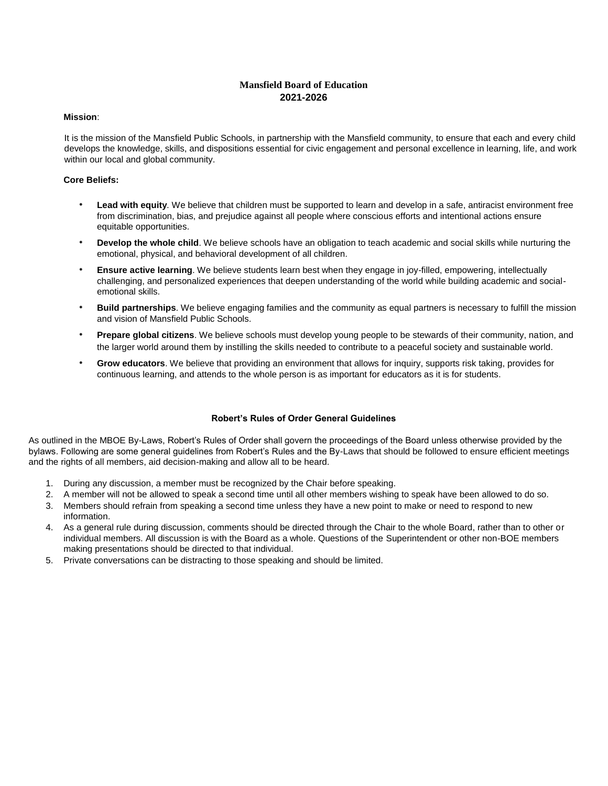#### **Mansfield Board of Education 2021-2026**

#### **Mission**:

It is the mission of the Mansfield Public Schools, in partnership with the Mansfield community, to ensure that each and every child develops the knowledge, skills, and dispositions essential for civic engagement and personal excellence in learning, life, and work within our local and global community.

#### **Core Beliefs:**

- Lead with equity. We believe that children must be supported to learn and develop in a safe, antiracist environment free from discrimination, bias, and prejudice against all people where conscious efforts and intentional actions ensure equitable opportunities.
- **Develop the whole child**. We believe schools have an obligation to teach academic and social skills while nurturing the emotional, physical, and behavioral development of all children.
- **Ensure active learning**. We believe students learn best when they engage in joy-filled, empowering, intellectually challenging, and personalized experiences that deepen understanding of the world while building academic and socialemotional skills.
- **Build partnerships**. We believe engaging families and the community as equal partners is necessary to fulfill the mission and vision of Mansfield Public Schools.
- **Prepare global citizens**. We believe schools must develop young people to be stewards of their community, nation, and the larger world around them by instilling the skills needed to contribute to a peaceful society and sustainable world.
- **Grow educators**. We believe that providing an environment that allows for inquiry, supports risk taking, provides for continuous learning, and attends to the whole person is as important for educators as it is for students.

#### **Robert's Rules of Order General Guidelines**

As outlined in the MBOE By-Laws, Robert's Rules of Order shall govern the proceedings of the Board unless otherwise provided by the bylaws. Following are some general guidelines from Robert's Rules and the By-Laws that should be followed to ensure efficient meetings and the rights of all members, aid decision-making and allow all to be heard.

- 1. During any discussion, a member must be recognized by the Chair before speaking.
- 2. A member will not be allowed to speak a second time until all other members wishing to speak have been allowed to do so.
- 3. Members should refrain from speaking a second time unless they have a new point to make or need to respond to new information.
- 4. As a general rule during discussion, comments should be directed through the Chair to the whole Board, rather than to other or individual members. All discussion is with the Board as a whole. Questions of the Superintendent or other non-BOE members making presentations should be directed to that individual.
- 5. Private conversations can be distracting to those speaking and should be limited.